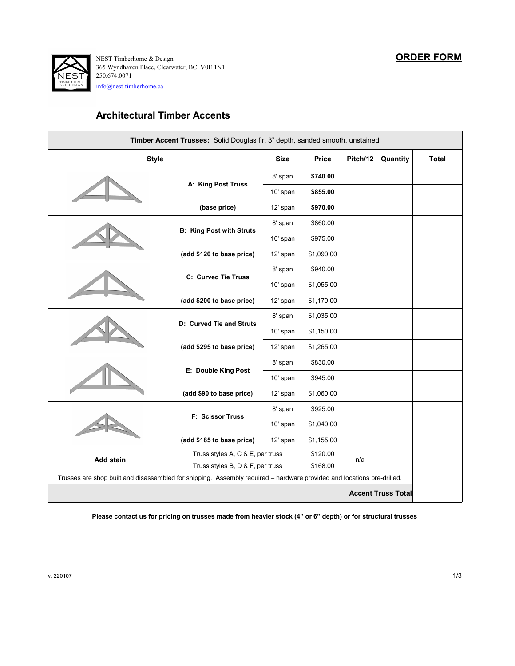

250.674.0071 NEST Timberhome & Design 365 Wyndhaven Place, Clearwater, BC V0E 1N1 [info@nest-timberhome.ca](mailto:info@nest-timberhome.ca)

## **Architectural Timber Accents**

| Timber Accent Trusses: Solid Douglas fir, 3" depth, sanded smooth, unstained                                           |                                  |             |              |          |          |              |
|------------------------------------------------------------------------------------------------------------------------|----------------------------------|-------------|--------------|----------|----------|--------------|
| <b>Style</b>                                                                                                           |                                  | <b>Size</b> | <b>Price</b> | Pitch/12 | Quantity | <b>Total</b> |
|                                                                                                                        | A: King Post Truss               | 8' span     | \$740.00     |          |          |              |
|                                                                                                                        |                                  | 10' span    | \$855.00     |          |          |              |
|                                                                                                                        | (base price)                     | 12' span    | \$970.00     |          |          |              |
|                                                                                                                        |                                  | 8' span     | \$860.00     |          |          |              |
|                                                                                                                        | <b>B: King Post with Struts</b>  | 10' span    | \$975.00     |          |          |              |
|                                                                                                                        | (add \$120 to base price)        | 12' span    | \$1,090.00   |          |          |              |
|                                                                                                                        |                                  | 8' span     | \$940.00     |          |          |              |
|                                                                                                                        | C: Curved Tie Truss              | 10' span    | \$1,055.00   |          |          |              |
|                                                                                                                        | (add \$200 to base price)        | 12' span    | \$1,170.00   |          |          |              |
|                                                                                                                        | D: Curved Tie and Struts         | 8' span     | \$1,035.00   |          |          |              |
|                                                                                                                        |                                  | 10' span    | \$1,150.00   |          |          |              |
|                                                                                                                        | (add \$295 to base price)        | 12' span    | \$1,265.00   |          |          |              |
|                                                                                                                        | E: Double King Post              | 8' span     | \$830.00     |          |          |              |
|                                                                                                                        |                                  | 10' span    | \$945.00     |          |          |              |
|                                                                                                                        | (add \$90 to base price)         | 12' span    | \$1,060.00   |          |          |              |
|                                                                                                                        | <b>F: Scissor Truss</b>          | 8' span     | \$925.00     |          |          |              |
|                                                                                                                        |                                  | 10' span    | \$1,040.00   |          |          |              |
|                                                                                                                        | (add \$185 to base price)        | 12' span    | \$1,155.00   |          |          |              |
| Add stain                                                                                                              | Truss styles A, C & E, per truss |             | \$120.00     | n/a      |          |              |
|                                                                                                                        | Truss styles B, D & F, per truss |             | \$168.00     |          |          |              |
| Trusses are shop built and disassembled for shipping. Assembly required - hardware provided and locations pre-drilled. |                                  |             |              |          |          |              |
| <b>Accent Truss Total</b>                                                                                              |                                  |             |              |          |          |              |

**Please contact us for pricing on trusses made from heavier stock (4" or 6" depth) or for structural trusses**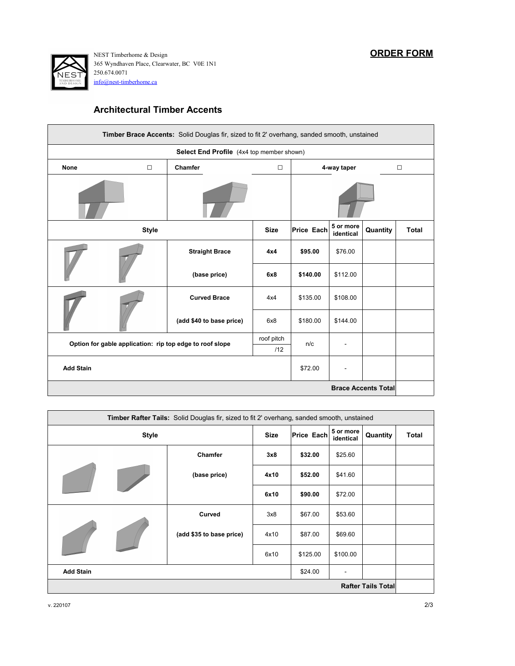

250.674.0071 NEST Timberhome & Design 365 Wyndhaven Place, Clearwater, BC V0E 1N1 [info@nest-timberhome.ca](mailto:info@nest-timberhome.ca)

## **Architectural Timber Accents**

| Timber Brace Accents: Solid Douglas fir, sized to fit 2' overhang, sanded smooth, unstained |                                                                        |                          |                       |          |                        |          |              |
|---------------------------------------------------------------------------------------------|------------------------------------------------------------------------|--------------------------|-----------------------|----------|------------------------|----------|--------------|
| Select End Profile (4x4 top member shown)                                                   |                                                                        |                          |                       |          |                        |          |              |
| <b>None</b>                                                                                 | $\Box$                                                                 | Chamfer                  | $\Box$<br>4-way taper |          |                        |          | $\Box$       |
|                                                                                             |                                                                        |                          |                       |          |                        |          |              |
|                                                                                             | <b>Style</b><br><b>Size</b>                                            |                          |                       |          | 5 or more<br>identical | Quantity | <b>Total</b> |
|                                                                                             |                                                                        | <b>Straight Brace</b>    | 4x4                   | \$95.00  | \$76.00                |          |              |
|                                                                                             |                                                                        | (base price)             | 6x8                   | \$140.00 | \$112.00               |          |              |
|                                                                                             |                                                                        | <b>Curved Brace</b>      | 4x4                   | \$135.00 | \$108.00               |          |              |
|                                                                                             |                                                                        | (add \$40 to base price) | 6x8                   | \$180.00 | \$144.00               |          |              |
|                                                                                             | roof pitch<br>Option for gable application: rip top edge to roof slope |                          |                       |          |                        |          |              |
|                                                                                             | /12                                                                    |                          |                       | n/c      |                        |          |              |
| <b>Add Stain</b>                                                                            |                                                                        |                          |                       |          |                        |          |              |
|                                                                                             | <b>Brace Accents Total</b>                                             |                          |                       |          |                        |          |              |

| <b>Timber Rafter Tails:</b> Solid Douglas fir, sized to fit 2' overhang, sanded smooth, unstained |  |                          |            |                              |          |       |  |
|---------------------------------------------------------------------------------------------------|--|--------------------------|------------|------------------------------|----------|-------|--|
| <b>Style</b>                                                                                      |  | <b>Size</b>              | Price Each | 5 or more<br>identical       | Quantity | Total |  |
|                                                                                                   |  | Chamfer                  | 3x8        | \$32.00                      | \$25.60  |       |  |
|                                                                                                   |  | (base price)             | 4x10       | \$52.00                      | \$41.60  |       |  |
|                                                                                                   |  |                          | 6x10       | \$90.00                      | \$72.00  |       |  |
|                                                                                                   |  | Curved                   | 3x8        | \$67.00                      | \$53.60  |       |  |
|                                                                                                   |  | (add \$35 to base price) | 4x10       | \$87.00                      | \$69.60  |       |  |
|                                                                                                   |  |                          | 6x10       | \$125.00                     | \$100.00 |       |  |
| <b>Add Stain</b>                                                                                  |  |                          | \$24.00    | $\qquad \qquad \blacksquare$ |          |       |  |
| <b>Rafter Tails Total</b>                                                                         |  |                          |            |                              |          |       |  |